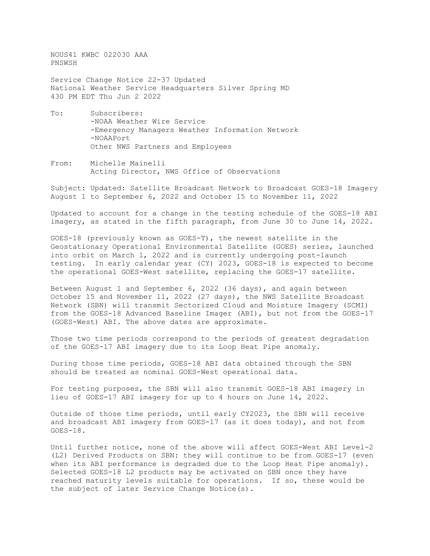NOUS41 KWBC 022030 AAA PNSWSH

Service Change Notice 22-37 Updated National Weather Service Headquarters Silver Spring MD 430 PM EDT Thu Jun 2 2022

- To: Subscribers: -NOAA Weather Wire Service -Emergency Managers Weather Information Network -NOAAPort Other NWS Partners and Employees
- From: Michelle Mainelli Acting Director, NWS Office of Observations

Subject: Updated: Satellite Broadcast Network to Broadcast GOES-18 Imagery August 1 to September 6, 2022 and October 15 to November 11, 2022

Updated to account for a change in the testing schedule of the GOES-18 ABI imagery, as stated in the fifth paragraph, from June 30 to June 14, 2022.

GOES-18 (previously known as GOES-T), the newest satellite in the Geostationary Operational Environmental Satellite (GOES) series, launched into orbit on March 1, 2022 and is currently undergoing post-launch testing. In early calendar year (CY) 2023, GOES-18 is expected to become the operational GOES-West satellite, replacing the GOES-17 satellite.

Between August 1 and September 6, 2022 (36 days), and again between October 15 and November 11, 2022 (27 days), the NWS Satellite Broadcast Network (SBN) will transmit Sectorized Cloud and Moisture Imagery (SCMI) from the GOES-18 Advanced Baseline Imager (ABI), but not from the GOES-17 (GOES-West) ABI. The above dates are approximate.

Those two time periods correspond to the periods of greatest degradation of the GOES-17 ABI imagery due to its Loop Heat Pipe anomaly.

During those time periods, GOES-18 ABI data obtained through the SBN should be treated as nominal GOES-West operational data.

For testing purposes, the SBN will also transmit GOES-18 ABI imagery in lieu of GOES-17 ABI imagery for up to 4 hours on June 14, 2022.

Outside of those time periods, until early CY2023, the SBN will receive and broadcast ABI imagery from GOES-17 (as it does today), and not from GOES-18.

Until further notice, none of the above will affect GOES-West ABI Level-2 (L2) Derived Products on SBN: they will continue to be from GOES-17 (even when its ABI performance is degraded due to the Loop Heat Pipe anomaly). Selected GOES-18 L2 products may be activated on SBN once they have reached maturity levels suitable for operations. If so, these would be the subject of later Service Change Notice(s).